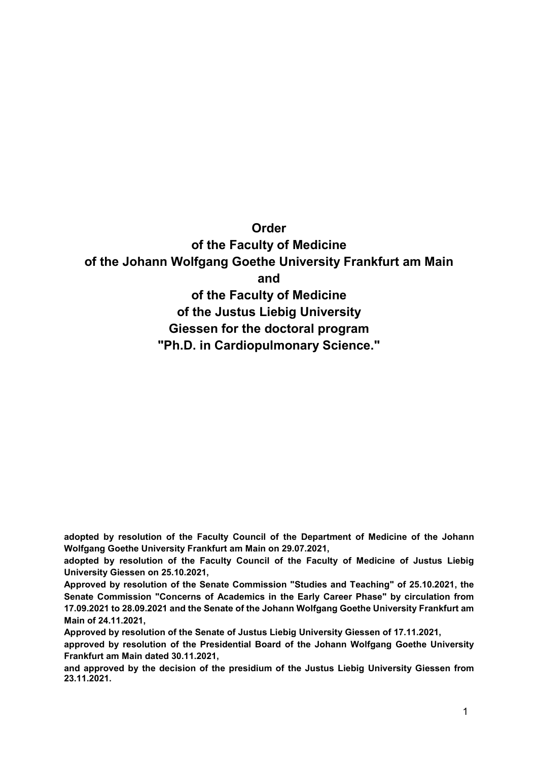**Order of the Faculty of Medicine of the Johann Wolfgang Goethe University Frankfurt am Main and of the Faculty of Medicine of the Justus Liebig University Giessen for the doctoral program "Ph.D. in Cardiopulmonary Science."**

**adopted by resolution of the Faculty Council of the Department of Medicine of the Johann Wolfgang Goethe University Frankfurt am Main on 29.07.2021,**

**adopted by resolution of the Faculty Council of the Faculty of Medicine of Justus Liebig University Giessen on 25.10.2021,**

**Approved by resolution of the Senate Commission "Studies and Teaching" of 25.10.2021, the Senate Commission "Concerns of Academics in the Early Career Phase" by circulation from 17.09.2021 to 28.09.2021 and the Senate of the Johann Wolfgang Goethe University Frankfurt am Main of 24.11.2021,**

**Approved by resolution of the Senate of Justus Liebig University Giessen of 17.11.2021,** 

**approved by resolution of the Presidential Board of the Johann Wolfgang Goethe University Frankfurt am Main dated 30.11.2021,**

**and approved by the decision of the presidium of the Justus Liebig University Giessen from 23.11.2021.**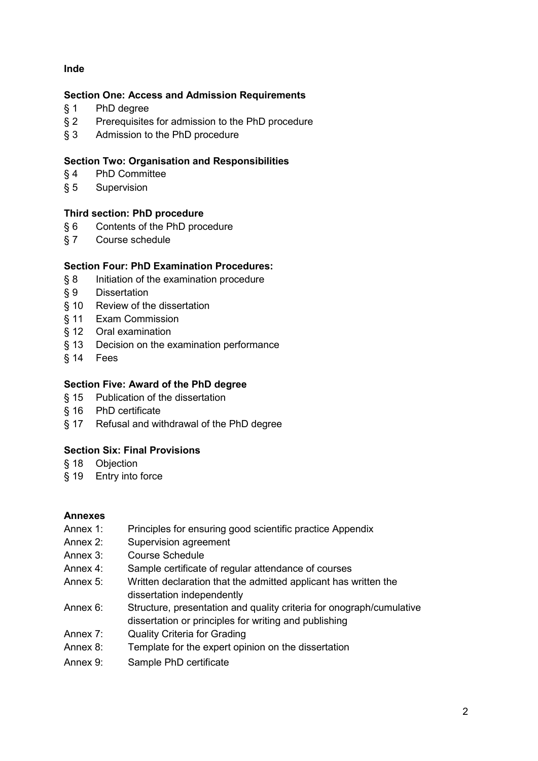# **Inde**

# **Section One: Access and Admission Requirements**

- § 1 PhD degree
- § 2 Prerequisites for admission to the PhD procedure
- § 3 Admission to the PhD procedure

# **Section Two: Organisation and Responsibilities**

- § 4 PhD Committee
- § 5 Supervision

# **Third section: PhD procedure**

- § 6 Contents of the PhD procedure
- § 7 Course schedule

# **Section Four: PhD Examination Procedures:**

- § 8 Initiation of the examination procedure
- § 9 Dissertation
- § 10 Review of the dissertation
- § 11 Exam Commission
- § 12 Oral examination
- § 13 Decision on the examination performance
- § 14 Fees

# **Section Five: Award of the PhD degree**

- § 15 Publication of the dissertation
- § 16 PhD certificate
- § 17 Refusal and withdrawal of the PhD degree

# **Section Six: Final Provisions**

- § 18 Objection
- § 19 Entry into force

# **Annexes**

- Annex 1: Principles for ensuring good scientific practice Appendix
- Annex 2: Supervision agreement
- Annex 3: Course Schedule
- Annex 4: Sample certificate of regular attendance of courses
- Annex 5: Written declaration that the admitted applicant has written the dissertation independently
- Annex 6: Structure, presentation and quality criteria for onograph/cumulative dissertation or principles for writing and publishing
- Annex 7: Quality Criteria for Grading
- Annex 8: Template for the expert opinion on the dissertation
- Annex 9: Sample PhD certificate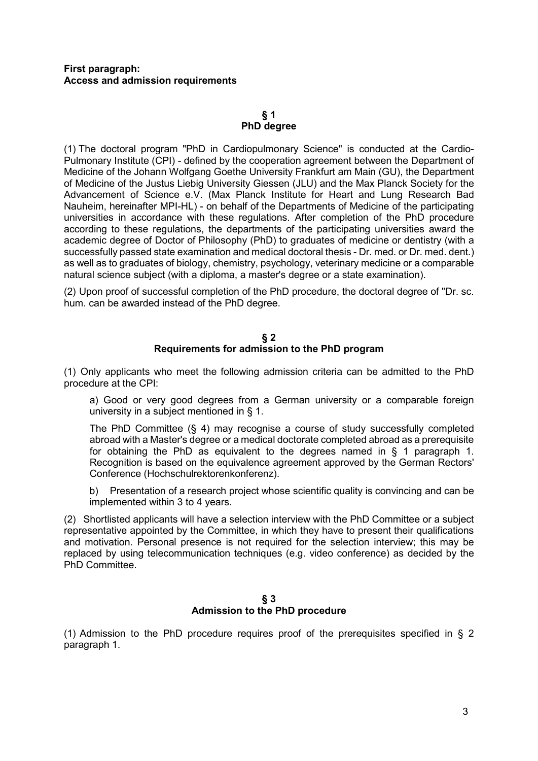# **First paragraph: Access and admission requirements**

## **§ 1 PhD degree**

(1) The doctoral program "PhD in Cardiopulmonary Science" is conducted at the Cardio-Pulmonary Institute (CPI) - defined by the cooperation agreement between the Department of Medicine of the Johann Wolfgang Goethe University Frankfurt am Main (GU), the Department of Medicine of the Justus Liebig University Giessen (JLU) and the Max Planck Society for the Advancement of Science e.V. (Max Planck Institute for Heart and Lung Research Bad Nauheim, hereinafter MPI-HL) - on behalf of the Departments of Medicine of the participating universities in accordance with these regulations. After completion of the PhD procedure according to these regulations, the departments of the participating universities award the academic degree of Doctor of Philosophy (PhD) to graduates of medicine or dentistry (with a successfully passed state examination and medical doctoral thesis - Dr. med. or Dr. med. dent.) as well as to graduates of biology, chemistry, psychology, veterinary medicine or a comparable natural science subject (with a diploma, a master's degree or a state examination).

(2) Upon proof of successful completion of the PhD procedure, the doctoral degree of "Dr. sc. hum. can be awarded instead of the PhD degree.

# **§ 2 Requirements for admission to the PhD program**

(1) Only applicants who meet the following admission criteria can be admitted to the PhD procedure at the CPI:

a) Good or very good degrees from a German university or a comparable foreign university in a subject mentioned in § 1.

The PhD Committee (§ 4) may recognise a course of study successfully completed abroad with a Master's degree or a medical doctorate completed abroad as a prerequisite for obtaining the PhD as equivalent to the degrees named in § 1 paragraph 1. Recognition is based on the equivalence agreement approved by the German Rectors' Conference (Hochschulrektorenkonferenz).

b) Presentation of a research project whose scientific quality is convincing and can be implemented within 3 to 4 years.

(2) Shortlisted applicants will have a selection interview with the PhD Committee or a subject representative appointed by the Committee, in which they have to present their qualifications and motivation. Personal presence is not required for the selection interview; this may be replaced by using telecommunication techniques (e.g. video conference) as decided by the PhD Committee.

#### **§ 3 Admission to the PhD procedure**

(1) Admission to the PhD procedure requires proof of the prerequisites specified in § 2 paragraph 1.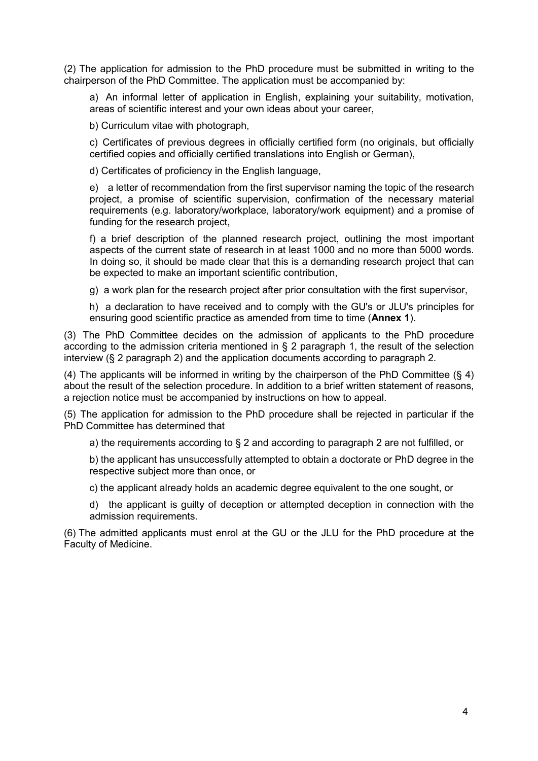(2) The application for admission to the PhD procedure must be submitted in writing to the chairperson of the PhD Committee. The application must be accompanied by:

a) An informal letter of application in English, explaining your suitability, motivation, areas of scientific interest and your own ideas about your career,

b) Curriculum vitae with photograph,

c) Certificates of previous degrees in officially certified form (no originals, but officially certified copies and officially certified translations into English or German),

d) Certificates of proficiency in the English language,

e) a letter of recommendation from the first supervisor naming the topic of the research project, a promise of scientific supervision, confirmation of the necessary material requirements (e.g. laboratory/workplace, laboratory/work equipment) and a promise of funding for the research project,

f) a brief description of the planned research project, outlining the most important aspects of the current state of research in at least 1000 and no more than 5000 words. In doing so, it should be made clear that this is a demanding research project that can be expected to make an important scientific contribution,

g) a work plan for the research project after prior consultation with the first supervisor,

h) a declaration to have received and to comply with the GU's or JLU's principles for ensuring good scientific practice as amended from time to time (**Annex 1**).

(3) The PhD Committee decides on the admission of applicants to the PhD procedure according to the admission criteria mentioned in § 2 paragraph 1, the result of the selection interview (§ 2 paragraph 2) and the application documents according to paragraph 2.

(4) The applicants will be informed in writing by the chairperson of the PhD Committee  $(\S 4)$ about the result of the selection procedure. In addition to a brief written statement of reasons, a rejection notice must be accompanied by instructions on how to appeal.

(5) The application for admission to the PhD procedure shall be rejected in particular if the PhD Committee has determined that

a) the requirements according to § 2 and according to paragraph 2 are not fulfilled, or

b) the applicant has unsuccessfully attempted to obtain a doctorate or PhD degree in the respective subject more than once, or

c) the applicant already holds an academic degree equivalent to the one sought, or

d) the applicant is guilty of deception or attempted deception in connection with the admission requirements.

(6) The admitted applicants must enrol at the GU or the JLU for the PhD procedure at the Faculty of Medicine.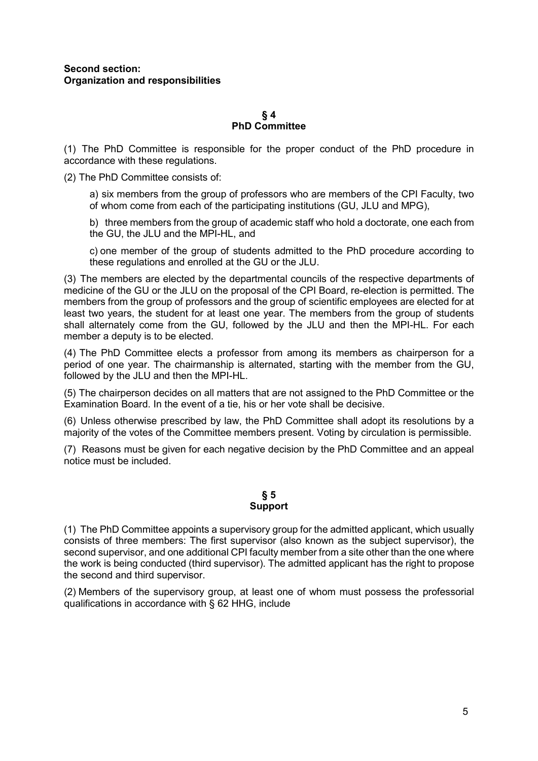#### **§ 4 PhD Committee**

(1) The PhD Committee is responsible for the proper conduct of the PhD procedure in accordance with these regulations.

(2) The PhD Committee consists of:

a) six members from the group of professors who are members of the CPI Faculty, two of whom come from each of the participating institutions (GU, JLU and MPG),

b) three members from the group of academic staff who hold a doctorate, one each from the GU, the JLU and the MPI-HL, and

c) one member of the group of students admitted to the PhD procedure according to these regulations and enrolled at the GU or the JLU.

(3) The members are elected by the departmental councils of the respective departments of medicine of the GU or the JLU on the proposal of the CPI Board, re-election is permitted. The members from the group of professors and the group of scientific employees are elected for at least two years, the student for at least one year. The members from the group of students shall alternately come from the GU, followed by the JLU and then the MPI-HL. For each member a deputy is to be elected.

(4) The PhD Committee elects a professor from among its members as chairperson for a period of one year. The chairmanship is alternated, starting with the member from the GU, followed by the JLU and then the MPI-HL.

(5) The chairperson decides on all matters that are not assigned to the PhD Committee or the Examination Board. In the event of a tie, his or her vote shall be decisive.

(6) Unless otherwise prescribed by law, the PhD Committee shall adopt its resolutions by a majority of the votes of the Committee members present. Voting by circulation is permissible.

(7) Reasons must be given for each negative decision by the PhD Committee and an appeal notice must be included.

# **§ 5 Support**

(1) The PhD Committee appoints a supervisory group for the admitted applicant, which usually consists of three members: The first supervisor (also known as the subject supervisor), the second supervisor, and one additional CPI faculty member from a site other than the one where the work is being conducted (third supervisor). The admitted applicant has the right to propose the second and third supervisor.

(2) Members of the supervisory group, at least one of whom must possess the professorial qualifications in accordance with § 62 HHG, include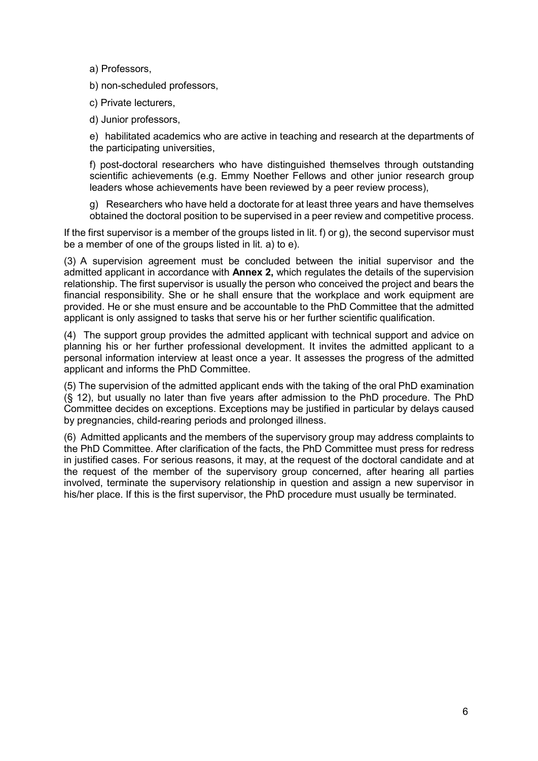a) Professors,

b) non-scheduled professors,

c) Private lecturers,

d) Junior professors,

e) habilitated academics who are active in teaching and research at the departments of the participating universities,

f) post-doctoral researchers who have distinguished themselves through outstanding scientific achievements (e.g. Emmy Noether Fellows and other junior research group leaders whose achievements have been reviewed by a peer review process),

g) Researchers who have held a doctorate for at least three years and have themselves obtained the doctoral position to be supervised in a peer review and competitive process.

If the first supervisor is a member of the groups listed in lit. f) or g), the second supervisor must be a member of one of the groups listed in lit. a) to e).

(3) A supervision agreement must be concluded between the initial supervisor and the admitted applicant in accordance with **Annex 2,** which regulates the details of the supervision relationship. The first supervisor is usually the person who conceived the project and bears the financial responsibility. She or he shall ensure that the workplace and work equipment are provided. He or she must ensure and be accountable to the PhD Committee that the admitted applicant is only assigned to tasks that serve his or her further scientific qualification.

(4) The support group provides the admitted applicant with technical support and advice on planning his or her further professional development. It invites the admitted applicant to a personal information interview at least once a year. It assesses the progress of the admitted applicant and informs the PhD Committee.

(5) The supervision of the admitted applicant ends with the taking of the oral PhD examination (§ 12), but usually no later than five years after admission to the PhD procedure. The PhD Committee decides on exceptions. Exceptions may be justified in particular by delays caused by pregnancies, child-rearing periods and prolonged illness.

(6) Admitted applicants and the members of the supervisory group may address complaints to the PhD Committee. After clarification of the facts, the PhD Committee must press for redress in justified cases. For serious reasons, it may, at the request of the doctoral candidate and at the request of the member of the supervisory group concerned, after hearing all parties involved, terminate the supervisory relationship in question and assign a new supervisor in his/her place. If this is the first supervisor, the PhD procedure must usually be terminated.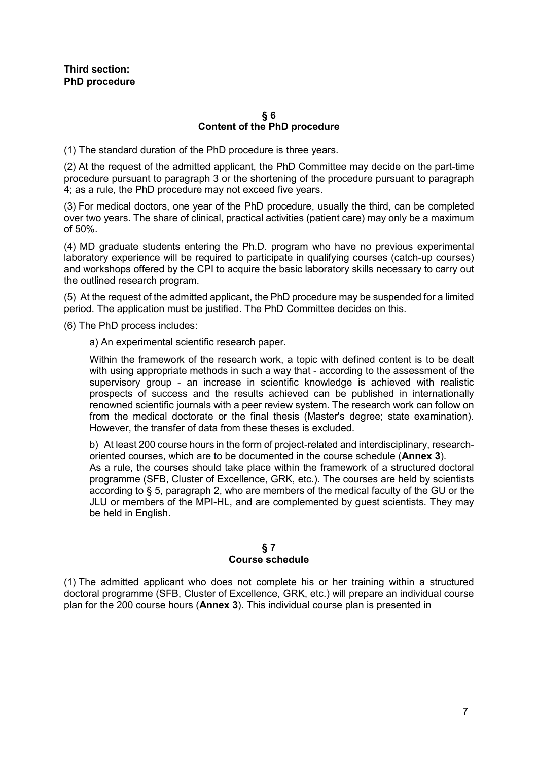#### **§ 6 Content of the PhD procedure**

(1) The standard duration of the PhD procedure is three years.

(2) At the request of the admitted applicant, the PhD Committee may decide on the part-time procedure pursuant to paragraph 3 or the shortening of the procedure pursuant to paragraph 4; as a rule, the PhD procedure may not exceed five years.

(3) For medical doctors, one year of the PhD procedure, usually the third, can be completed over two years. The share of clinical, practical activities (patient care) may only be a maximum of 50%.

(4) MD graduate students entering the Ph.D. program who have no previous experimental laboratory experience will be required to participate in qualifying courses (catch-up courses) and workshops offered by the CPI to acquire the basic laboratory skills necessary to carry out the outlined research program.

(5) At the request of the admitted applicant, the PhD procedure may be suspended for a limited period. The application must be justified. The PhD Committee decides on this.

(6) The PhD process includes:

a) An experimental scientific research paper.

Within the framework of the research work, a topic with defined content is to be dealt with using appropriate methods in such a way that - according to the assessment of the supervisory group - an increase in scientific knowledge is achieved with realistic prospects of success and the results achieved can be published in internationally renowned scientific journals with a peer review system. The research work can follow on from the medical doctorate or the final thesis (Master's degree; state examination). However, the transfer of data from these theses is excluded.

b) At least 200 course hours in the form of project-related and interdisciplinary, researchoriented courses, which are to be documented in the course schedule (**Annex 3**). As a rule, the courses should take place within the framework of a structured doctoral programme (SFB, Cluster of Excellence, GRK, etc.). The courses are held by scientists according to § 5, paragraph 2, who are members of the medical faculty of the GU or the JLU or members of the MPI-HL, and are complemented by guest scientists. They may be held in English.

# **§ 7 Course schedule**

(1) The admitted applicant who does not complete his or her training within a structured doctoral programme (SFB, Cluster of Excellence, GRK, etc.) will prepare an individual course plan for the 200 course hours (**Annex 3**). This individual course plan is presented in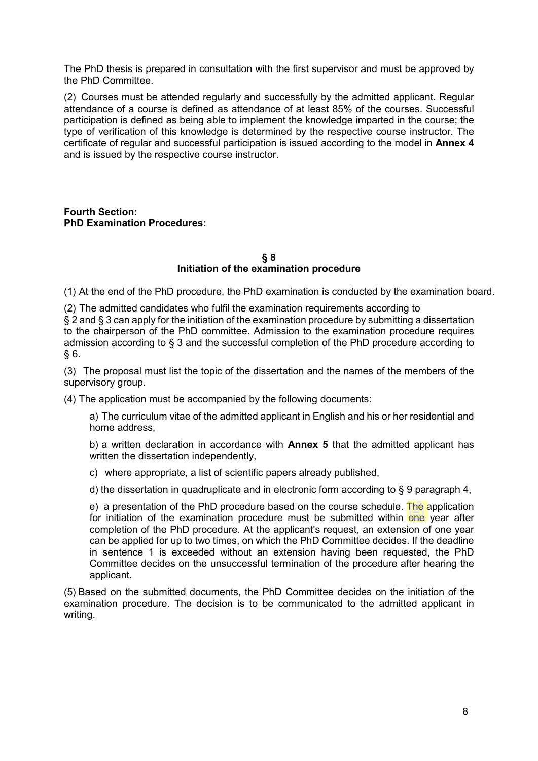The PhD thesis is prepared in consultation with the first supervisor and must be approved by the PhD Committee.

(2) Courses must be attended regularly and successfully by the admitted applicant. Regular attendance of a course is defined as attendance of at least 85% of the courses. Successful participation is defined as being able to implement the knowledge imparted in the course; the type of verification of this knowledge is determined by the respective course instructor. The certificate of regular and successful participation is issued according to the model in **Annex 4**  and is issued by the respective course instructor.

**Fourth Section: PhD Examination Procedures:**

#### **§ 8 Initiation of the examination procedure**

(1) At the end of the PhD procedure, the PhD examination is conducted by the examination board.

(2) The admitted candidates who fulfil the examination requirements according to § 2 and § 3 can apply for the initiation of the examination procedure by submitting a dissertation to the chairperson of the PhD committee. Admission to the examination procedure requires admission according to § 3 and the successful completion of the PhD procedure according to  $§ 6.$ 

(3) The proposal must list the topic of the dissertation and the names of the members of the supervisory group.

(4) The application must be accompanied by the following documents:

a) The curriculum vitae of the admitted applicant in English and his or her residential and home address,

b) a written declaration in accordance with **Annex 5** that the admitted applicant has written the dissertation independently,

c) where appropriate, a list of scientific papers already published,

d) the dissertation in quadruplicate and in electronic form according to § 9 paragraph 4,

e) a presentation of the PhD procedure based on the course schedule. The application for initiation of the examination procedure must be submitted within one year after completion of the PhD procedure. At the applicant's request, an extension of one year can be applied for up to two times, on which the PhD Committee decides. If the deadline in sentence 1 is exceeded without an extension having been requested, the PhD Committee decides on the unsuccessful termination of the procedure after hearing the applicant.

(5) Based on the submitted documents, the PhD Committee decides on the initiation of the examination procedure. The decision is to be communicated to the admitted applicant in writing.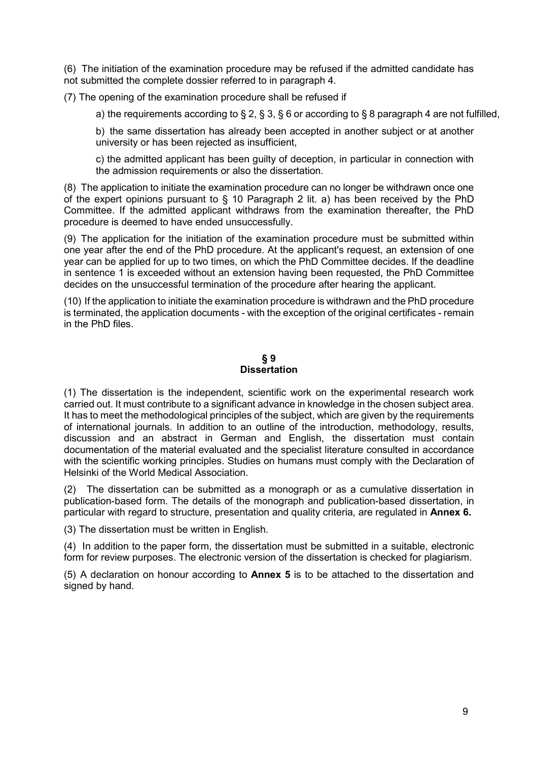(6) The initiation of the examination procedure may be refused if the admitted candidate has not submitted the complete dossier referred to in paragraph 4.

(7) The opening of the examination procedure shall be refused if

a) the requirements according to § 2, § 3, § 6 or according to § 8 paragraph 4 are not fulfilled,

b) the same dissertation has already been accepted in another subject or at another university or has been rejected as insufficient,

c) the admitted applicant has been guilty of deception, in particular in connection with the admission requirements or also the dissertation.

(8) The application to initiate the examination procedure can no longer be withdrawn once one of the expert opinions pursuant to § 10 Paragraph 2 lit. a) has been received by the PhD Committee. If the admitted applicant withdraws from the examination thereafter, the PhD procedure is deemed to have ended unsuccessfully.

(9) The application for the initiation of the examination procedure must be submitted within one year after the end of the PhD procedure. At the applicant's request, an extension of one year can be applied for up to two times, on which the PhD Committee decides. If the deadline in sentence 1 is exceeded without an extension having been requested, the PhD Committee decides on the unsuccessful termination of the procedure after hearing the applicant.

(10) If the application to initiate the examination procedure is withdrawn and the PhD procedure is terminated, the application documents - with the exception of the original certificates - remain in the PhD files.

#### **§ 9 Dissertation**

(1) The dissertation is the independent, scientific work on the experimental research work carried out. It must contribute to a significant advance in knowledge in the chosen subject area. It has to meet the methodological principles of the subject, which are given by the requirements of international journals. In addition to an outline of the introduction, methodology, results, discussion and an abstract in German and English, the dissertation must contain documentation of the material evaluated and the specialist literature consulted in accordance with the scientific working principles. Studies on humans must comply with the Declaration of Helsinki of the World Medical Association.

(2) The dissertation can be submitted as a monograph or as a cumulative dissertation in publication-based form. The details of the monograph and publication-based dissertation, in particular with regard to structure, presentation and quality criteria, are regulated in **Annex 6.**

(3) The dissertation must be written in English.

(4) In addition to the paper form, the dissertation must be submitted in a suitable, electronic form for review purposes. The electronic version of the dissertation is checked for plagiarism.

(5) A declaration on honour according to **Annex 5** is to be attached to the dissertation and signed by hand.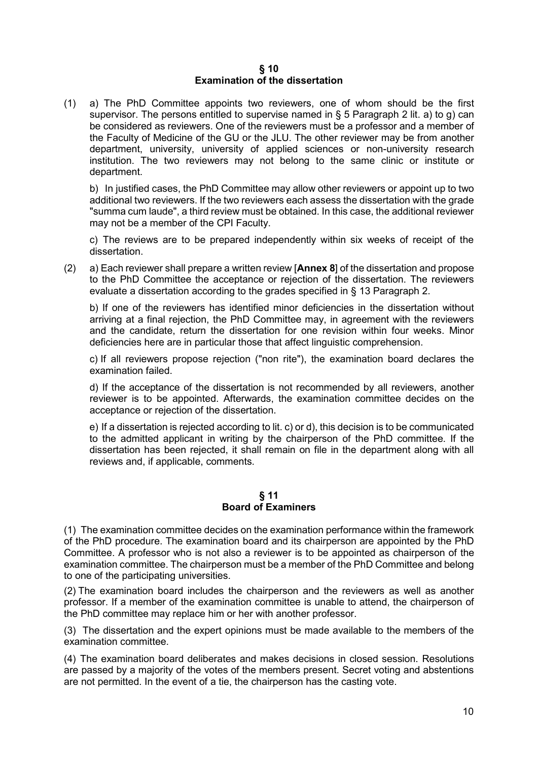#### **§ 10 Examination of the dissertation**

(1) a) The PhD Committee appoints two reviewers, one of whom should be the first supervisor. The persons entitled to supervise named in  $\S 5$  Paragraph 2 lit. a) to g) can be considered as reviewers. One of the reviewers must be a professor and a member of the Faculty of Medicine of the GU or the JLU. The other reviewer may be from another department, university, university of applied sciences or non-university research institution. The two reviewers may not belong to the same clinic or institute or department.

b) In justified cases, the PhD Committee may allow other reviewers or appoint up to two additional two reviewers. If the two reviewers each assess the dissertation with the grade "summa cum laude", a third review must be obtained. In this case, the additional reviewer may not be a member of the CPI Faculty.

c) The reviews are to be prepared independently within six weeks of receipt of the dissertation.

(2) a) Each reviewer shall prepare a written review [**Annex 8**] of the dissertation and propose to the PhD Committee the acceptance or rejection of the dissertation. The reviewers evaluate a dissertation according to the grades specified in § 13 Paragraph 2.

b) If one of the reviewers has identified minor deficiencies in the dissertation without arriving at a final rejection, the PhD Committee may, in agreement with the reviewers and the candidate, return the dissertation for one revision within four weeks. Minor deficiencies here are in particular those that affect linguistic comprehension.

c) If all reviewers propose rejection ("non rite"), the examination board declares the examination failed.

d) If the acceptance of the dissertation is not recommended by all reviewers, another reviewer is to be appointed. Afterwards, the examination committee decides on the acceptance or rejection of the dissertation.

e) If a dissertation is rejected according to lit. c) or d), this decision is to be communicated to the admitted applicant in writing by the chairperson of the PhD committee. If the dissertation has been rejected, it shall remain on file in the department along with all reviews and, if applicable, comments.

# **§ 11 Board of Examiners**

(1) The examination committee decides on the examination performance within the framework of the PhD procedure. The examination board and its chairperson are appointed by the PhD Committee. A professor who is not also a reviewer is to be appointed as chairperson of the examination committee. The chairperson must be a member of the PhD Committee and belong to one of the participating universities.

(2) The examination board includes the chairperson and the reviewers as well as another professor. If a member of the examination committee is unable to attend, the chairperson of the PhD committee may replace him or her with another professor.

(3) The dissertation and the expert opinions must be made available to the members of the examination committee.

(4) The examination board deliberates and makes decisions in closed session. Resolutions are passed by a majority of the votes of the members present. Secret voting and abstentions are not permitted. In the event of a tie, the chairperson has the casting vote.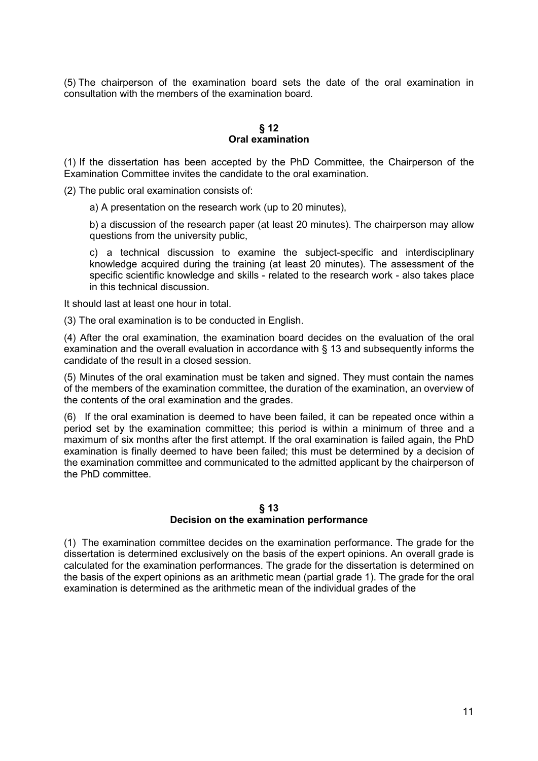(5) The chairperson of the examination board sets the date of the oral examination in consultation with the members of the examination board.

# **§ 12 Oral examination**

(1) If the dissertation has been accepted by the PhD Committee, the Chairperson of the Examination Committee invites the candidate to the oral examination.

(2) The public oral examination consists of:

a) A presentation on the research work (up to 20 minutes),

b) a discussion of the research paper (at least 20 minutes). The chairperson may allow questions from the university public,

c) a technical discussion to examine the subject-specific and interdisciplinary knowledge acquired during the training (at least 20 minutes). The assessment of the specific scientific knowledge and skills - related to the research work - also takes place in this technical discussion.

It should last at least one hour in total.

(3) The oral examination is to be conducted in English.

(4) After the oral examination, the examination board decides on the evaluation of the oral examination and the overall evaluation in accordance with § 13 and subsequently informs the candidate of the result in a closed session.

(5) Minutes of the oral examination must be taken and signed. They must contain the names of the members of the examination committee, the duration of the examination, an overview of the contents of the oral examination and the grades.

(6) If the oral examination is deemed to have been failed, it can be repeated once within a period set by the examination committee; this period is within a minimum of three and a maximum of six months after the first attempt. If the oral examination is failed again, the PhD examination is finally deemed to have been failed; this must be determined by a decision of the examination committee and communicated to the admitted applicant by the chairperson of the PhD committee.

#### **§ 13 Decision on the examination performance**

(1) The examination committee decides on the examination performance. The grade for the dissertation is determined exclusively on the basis of the expert opinions. An overall grade is calculated for the examination performances. The grade for the dissertation is determined on the basis of the expert opinions as an arithmetic mean (partial grade 1). The grade for the oral examination is determined as the arithmetic mean of the individual grades of the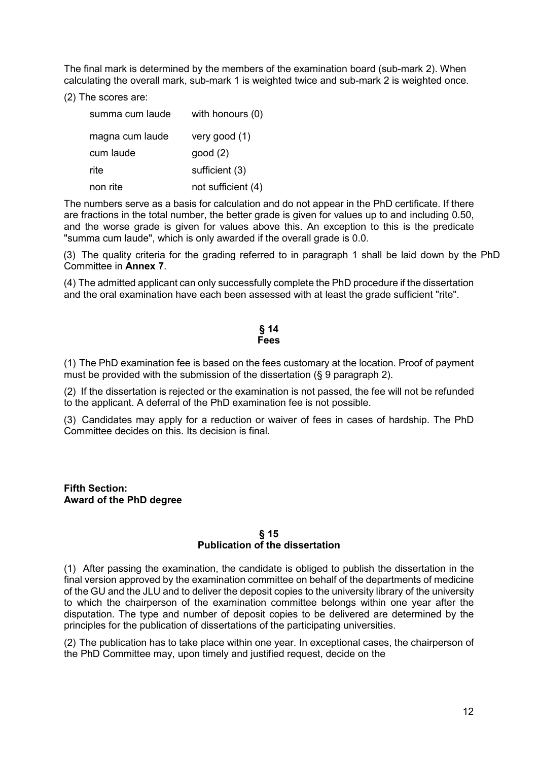The final mark is determined by the members of the examination board (sub-mark 2). When calculating the overall mark, sub-mark 1 is weighted twice and sub-mark 2 is weighted once.

(2) The scores are:

| summa cum laude | with honours (0)   |
|-----------------|--------------------|
| magna cum laude | very good $(1)$    |
| cum laude       | good(2)            |
| rite            | sufficient (3)     |
| non rite        | not sufficient (4) |

The numbers serve as a basis for calculation and do not appear in the PhD certificate. If there are fractions in the total number, the better grade is given for values up to and including 0.50, and the worse grade is given for values above this. An exception to this is the predicate "summa cum laude", which is only awarded if the overall grade is 0.0.

(3) The quality criteria for the grading referred to in paragraph 1 shall be laid down by the PhD Committee in **Annex 7**.

(4) The admitted applicant can only successfully complete the PhD procedure if the dissertation and the oral examination have each been assessed with at least the grade sufficient "rite".

#### **§ 14 Fees**

(1) The PhD examination fee is based on the fees customary at the location. Proof of payment must be provided with the submission of the dissertation (§ 9 paragraph 2).

(2) If the dissertation is rejected or the examination is not passed, the fee will not be refunded to the applicant. A deferral of the PhD examination fee is not possible.

(3) Candidates may apply for a reduction or waiver of fees in cases of hardship. The PhD Committee decides on this. Its decision is final.

**Fifth Section: Award of the PhD degree**

#### **§ 15 Publication of the dissertation**

(1) After passing the examination, the candidate is obliged to publish the dissertation in the final version approved by the examination committee on behalf of the departments of medicine of the GU and the JLU and to deliver the deposit copies to the university library of the university to which the chairperson of the examination committee belongs within one year after the disputation. The type and number of deposit copies to be delivered are determined by the principles for the publication of dissertations of the participating universities.

(2) The publication has to take place within one year. In exceptional cases, the chairperson of the PhD Committee may, upon timely and justified request, decide on the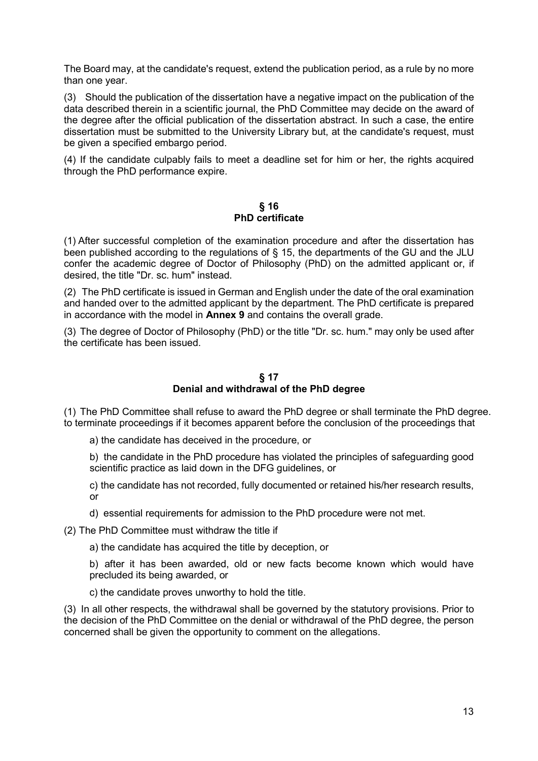The Board may, at the candidate's request, extend the publication period, as a rule by no more than one year.

(3) Should the publication of the dissertation have a negative impact on the publication of the data described therein in a scientific journal, the PhD Committee may decide on the award of the degree after the official publication of the dissertation abstract. In such a case, the entire dissertation must be submitted to the University Library but, at the candidate's request, must be given a specified embargo period.

(4) If the candidate culpably fails to meet a deadline set for him or her, the rights acquired through the PhD performance expire.

# **§ 16 PhD certificate**

(1) After successful completion of the examination procedure and after the dissertation has been published according to the regulations of § 15, the departments of the GU and the JLU confer the academic degree of Doctor of Philosophy (PhD) on the admitted applicant or, if desired, the title "Dr. sc. hum" instead.

(2) The PhD certificate is issued in German and English under the date of the oral examination and handed over to the admitted applicant by the department. The PhD certificate is prepared in accordance with the model in **Annex 9** and contains the overall grade.

(3) The degree of Doctor of Philosophy (PhD) or the title "Dr. sc. hum." may only be used after the certificate has been issued.

# **§ 17 Denial and withdrawal of the PhD degree**

(1) The PhD Committee shall refuse to award the PhD degree or shall terminate the PhD degree. to terminate proceedings if it becomes apparent before the conclusion of the proceedings that

- a) the candidate has deceived in the procedure, or
- b) the candidate in the PhD procedure has violated the principles of safeguarding good scientific practice as laid down in the DFG guidelines, or
- c) the candidate has not recorded, fully documented or retained his/her research results, or
- d) essential requirements for admission to the PhD procedure were not met.

(2) The PhD Committee must withdraw the title if

a) the candidate has acquired the title by deception, or

b) after it has been awarded, old or new facts become known which would have precluded its being awarded, or

c) the candidate proves unworthy to hold the title.

(3) In all other respects, the withdrawal shall be governed by the statutory provisions. Prior to the decision of the PhD Committee on the denial or withdrawal of the PhD degree, the person concerned shall be given the opportunity to comment on the allegations.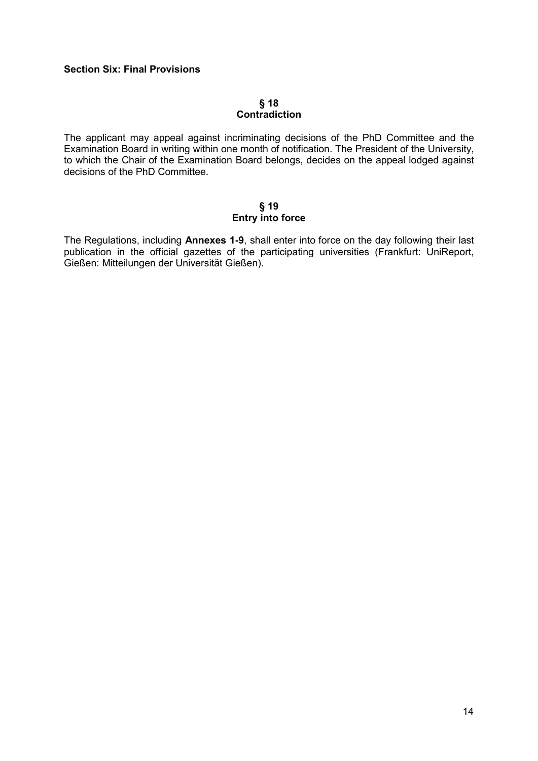# **Section Six: Final Provisions**

# **§ 18 Contradiction**

The applicant may appeal against incriminating decisions of the PhD Committee and the Examination Board in writing within one month of notification. The President of the University, to which the Chair of the Examination Board belongs, decides on the appeal lodged against decisions of the PhD Committee.

#### **§ 19 Entry into force**

The Regulations, including **Annexes 1-9**, shall enter into force on the day following their last publication in the official gazettes of the participating universities (Frankfurt: UniReport, Gießen: Mitteilungen der Universität Gießen).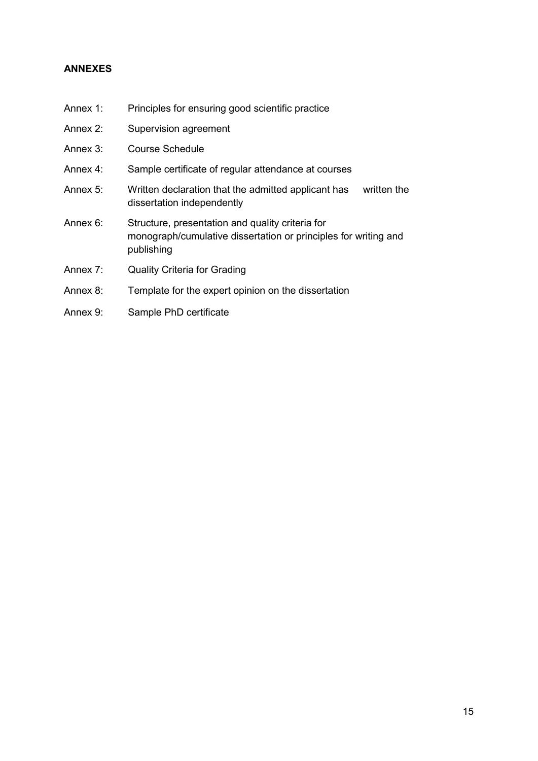# **ANNEXES**

- Annex 1: Principles for ensuring good scientific practice
- Annex 2: Supervision agreement
- Annex 3: Course Schedule
- Annex 4: Sample certificate of regular attendance at courses
- Annex 5: Written declaration that the admitted applicant has written the dissertation independently
- Annex 6: Structure, presentation and quality criteria for monograph/cumulative dissertation or principles for writing and publishing
- Annex 7: Quality Criteria for Grading
- Annex 8: Template for the expert opinion on the dissertation
- Annex 9: Sample PhD certificate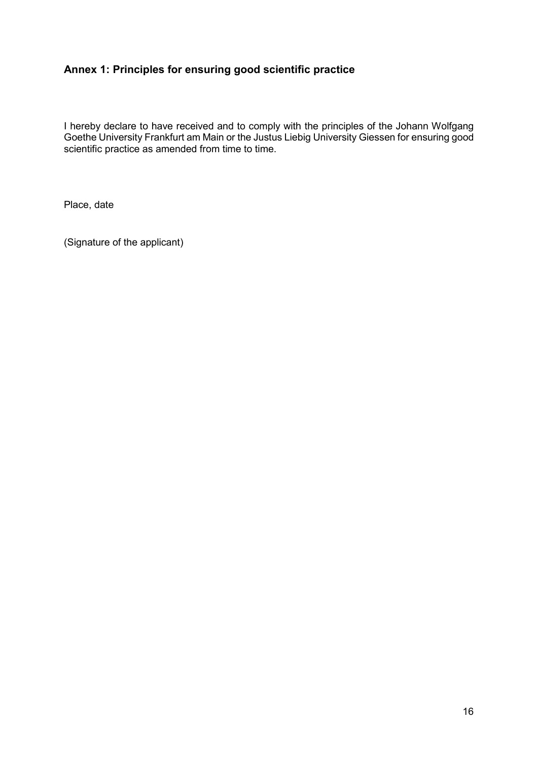# **Annex 1: Principles for ensuring good scientific practice**

I hereby declare to have received and to comply with the principles of the Johann Wolfgang Goethe University Frankfurt am Main or the Justus Liebig University Giessen for ensuring good scientific practice as amended from time to time.

Place, date

(Signature of the applicant)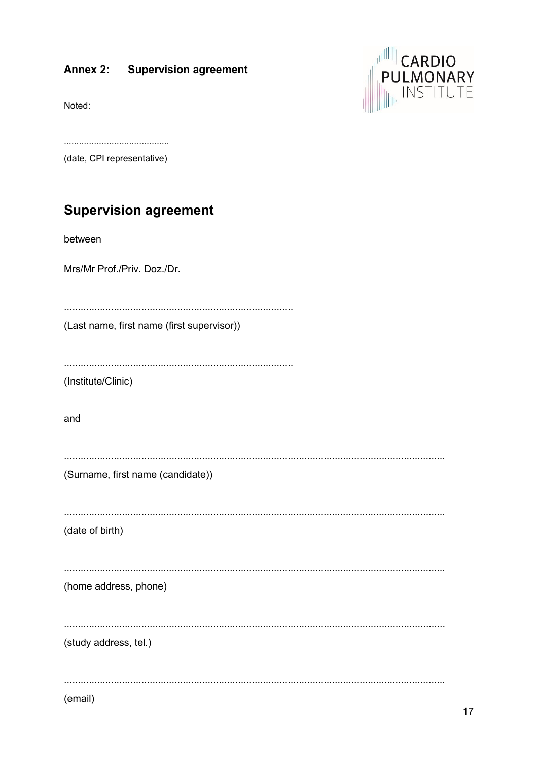#### Annex 2: **Supervision agreement**

Noted:



(date, CPI representative)

# **Supervision agreement**

between

Mrs/Mr Prof./Priv. Doz./Dr.

(Last name, first name (first supervisor))

(Institute/Clinic)

and

| (Surname, first name (candidate)) |  |  |  |
|-----------------------------------|--|--|--|

(date of birth)

(home address, phone)

(study address, tel.)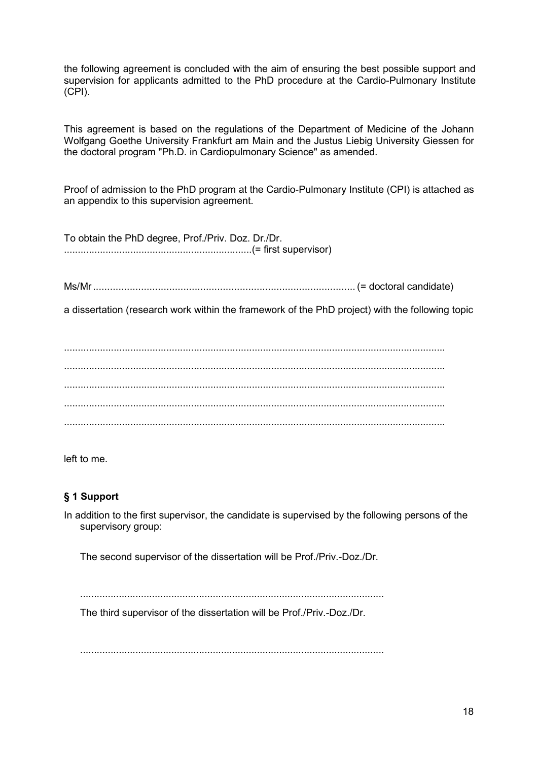the following agreement is concluded with the aim of ensuring the best possible support and supervision for applicants admitted to the PhD procedure at the Cardio-Pulmonary Institute (CPI).

This agreement is based on the regulations of the Department of Medicine of the Johann Wolfgang Goethe University Frankfurt am Main and the Justus Liebig University Giessen for the doctoral program "Ph.D. in Cardiopulmonary Science" as amended.

Proof of admission to the PhD program at the Cardio-Pulmonary Institute (CPI) is attached as an appendix to this supervision agreement.

To obtain the PhD degree, Prof./Priv. Doz. Dr./Dr. ....................................................................(= first supervisor)

Ms/Mr............................................................................................. (= doctoral candidate)

a dissertation (research work within the framework of the PhD project) with the following topic

.......................................................................................................................................... .......................................................................................................................................... .......................................................................................................................................... .......................................................................................................................................... ..........................................................................................................................................

left to me.

# **§ 1 Support**

In addition to the first supervisor, the candidate is supervised by the following persons of the supervisory group:

The second supervisor of the dissertation will be Prof./Priv.-Doz./Dr.

..............................................................................................................

The third supervisor of the dissertation will be Prof./Priv.-Doz./Dr.

..............................................................................................................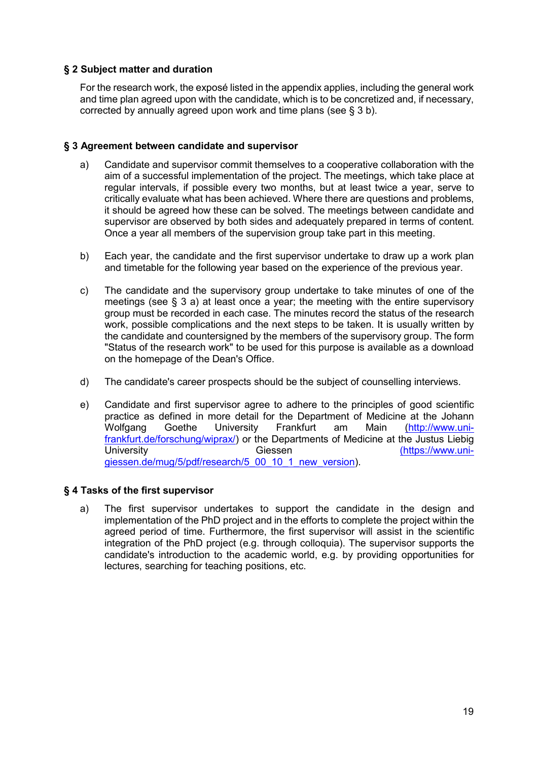# **§ 2 Subject matter and duration**

For the research work, the exposé listed in the appendix applies, including the general work and time plan agreed upon with the candidate, which is to be concretized and, if necessary, corrected by annually agreed upon work and time plans (see § 3 b).

# **§ 3 Agreement between candidate and supervisor**

- a) Candidate and supervisor commit themselves to a cooperative collaboration with the aim of a successful implementation of the project. The meetings, which take place at regular intervals, if possible every two months, but at least twice a year, serve to critically evaluate what has been achieved. Where there are questions and problems, it should be agreed how these can be solved. The meetings between candidate and supervisor are observed by both sides and adequately prepared in terms of content. Once a year all members of the supervision group take part in this meeting.
- b) Each year, the candidate and the first supervisor undertake to draw up a work plan and timetable for the following year based on the experience of the previous year.
- c) The candidate and the supervisory group undertake to take minutes of one of the meetings (see § 3 a) at least once a year; the meeting with the entire supervisory group must be recorded in each case. The minutes record the status of the research work, possible complications and the next steps to be taken. It is usually written by the candidate and countersigned by the members of the supervisory group. The form "Status of the research work" to be used for this purpose is available as a download on the homepage of the Dean's Office.
- d) The candidate's career prospects should be the subject of counselling interviews.
- e) Candidate and first supervisor agree to adhere to the principles of good scientific practice as defined in more detail for the Department of Medicine at the Johann Wolfgang Goethe University Frankfurt am Main [\(http://www.uni](http://www.uni-frankfurt.de/forschung/wiprax/)[frankfurt.de/forschung/wiprax/\)](http://www.uni-frankfurt.de/forschung/wiprax/) or the Departments of Medicine at the Justus Liebig (https://www.uni[giessen.de/mug/5/pdf/research/5\\_00\\_10\\_1\\_new\\_version\)](https://www.uni-giessen.de/mug/5/pdf/forschung/5_00_10_1_Neufassung).

# **§ 4 Tasks of the first supervisor**

a) The first supervisor undertakes to support the candidate in the design and implementation of the PhD project and in the efforts to complete the project within the agreed period of time. Furthermore, the first supervisor will assist in the scientific integration of the PhD project (e.g. through colloquia). The supervisor supports the candidate's introduction to the academic world, e.g. by providing opportunities for lectures, searching for teaching positions, etc.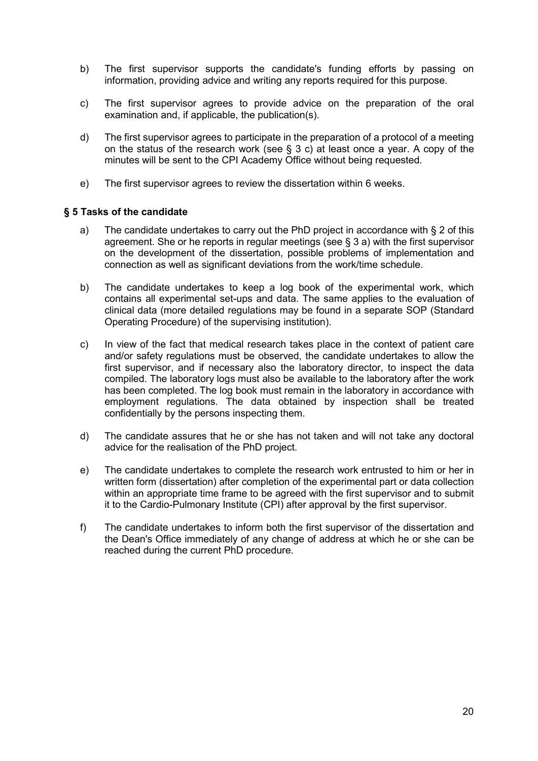- b) The first supervisor supports the candidate's funding efforts by passing on information, providing advice and writing any reports required for this purpose.
- c) The first supervisor agrees to provide advice on the preparation of the oral examination and, if applicable, the publication(s).
- d) The first supervisor agrees to participate in the preparation of a protocol of a meeting on the status of the research work (see  $\S$  3 c) at least once a year. A copy of the minutes will be sent to the CPI Academy Office without being requested.
- e) The first supervisor agrees to review the dissertation within 6 weeks.

# **§ 5 Tasks of the candidate**

- a) The candidate undertakes to carry out the PhD project in accordance with § 2 of this agreement. She or he reports in regular meetings (see § 3 a) with the first supervisor on the development of the dissertation, possible problems of implementation and connection as well as significant deviations from the work/time schedule.
- b) The candidate undertakes to keep a log book of the experimental work, which contains all experimental set-ups and data. The same applies to the evaluation of clinical data (more detailed regulations may be found in a separate SOP (Standard Operating Procedure) of the supervising institution).
- c) In view of the fact that medical research takes place in the context of patient care and/or safety regulations must be observed, the candidate undertakes to allow the first supervisor, and if necessary also the laboratory director, to inspect the data compiled. The laboratory logs must also be available to the laboratory after the work has been completed. The log book must remain in the laboratory in accordance with employment regulations. The data obtained by inspection shall be treated confidentially by the persons inspecting them.
- d) The candidate assures that he or she has not taken and will not take any doctoral advice for the realisation of the PhD project.
- e) The candidate undertakes to complete the research work entrusted to him or her in written form (dissertation) after completion of the experimental part or data collection within an appropriate time frame to be agreed with the first supervisor and to submit it to the Cardio-Pulmonary Institute (CPI) after approval by the first supervisor.
- f) The candidate undertakes to inform both the first supervisor of the dissertation and the Dean's Office immediately of any change of address at which he or she can be reached during the current PhD procedure.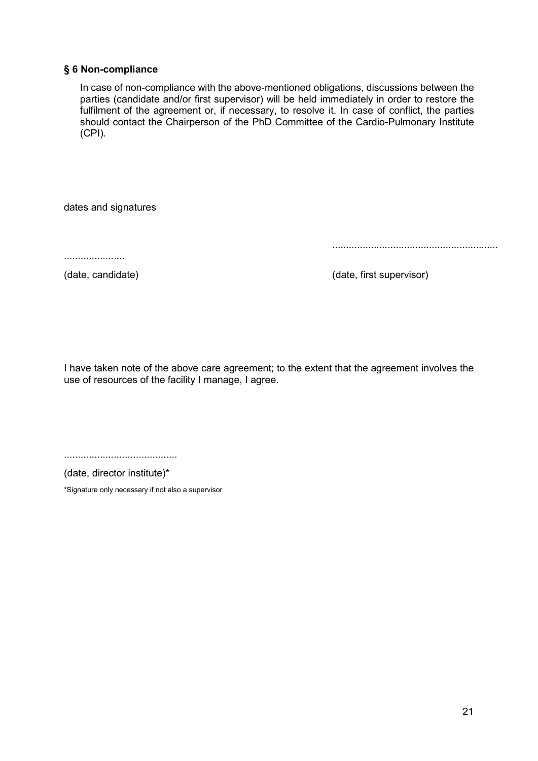# **§ 6 Non-compliance**

In case of non-compliance with the above-mentioned obligations, discussions between the parties (candidate and/or first supervisor) will be held immediately in order to restore the fulfilment of the agreement or, if necessary, to resolve it. In case of conflict, the parties should contact the Chairperson of the PhD Committee of the Cardio-Pulmonary Institute (CPI).

dates and signatures

......................

(date, candidate) (date, first supervisor)

............................................................

I have taken note of the above care agreement; to the extent that the agreement involves the use of resources of the facility I manage, I agree.

.........................................

(date, director institute)\*

\*Signature only necessary if not also a supervisor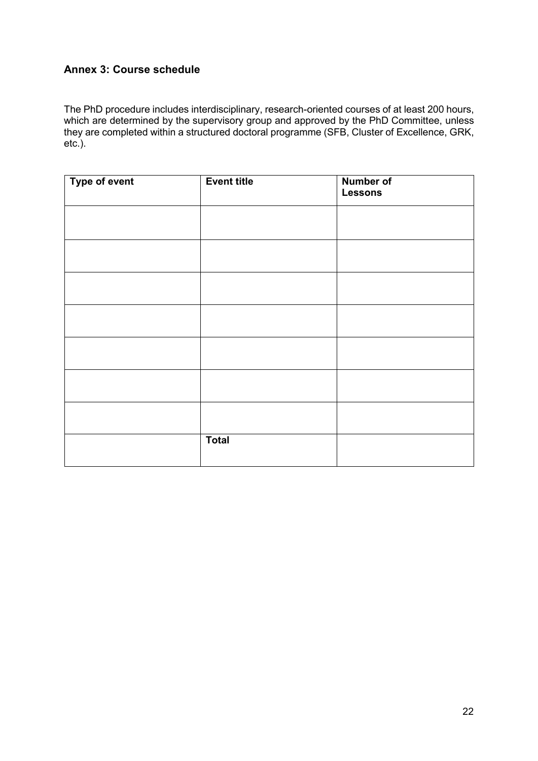# **Annex 3: Course schedule**

The PhD procedure includes interdisciplinary, research-oriented courses of at least 200 hours, which are determined by the supervisory group and approved by the PhD Committee, unless they are completed within a structured doctoral programme (SFB, Cluster of Excellence, GRK, etc.).

| Type of event | <b>Event title</b> | <b>Number of</b><br><b>Lessons</b> |
|---------------|--------------------|------------------------------------|
|               |                    |                                    |
|               |                    |                                    |
|               |                    |                                    |
|               |                    |                                    |
|               |                    |                                    |
|               |                    |                                    |
|               |                    |                                    |
|               | <b>Total</b>       |                                    |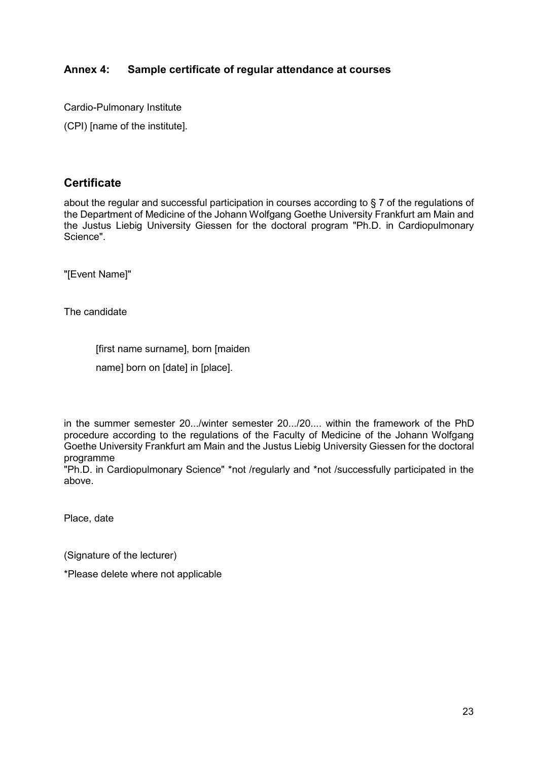# **Annex 4: Sample certificate of regular attendance at courses**

Cardio-Pulmonary Institute

(CPI) [name of the institute].

# **Certificate**

about the regular and successful participation in courses according to § 7 of the regulations of the Department of Medicine of the Johann Wolfgang Goethe University Frankfurt am Main and the Justus Liebig University Giessen for the doctoral program "Ph.D. in Cardiopulmonary Science".

"[Event Name]"

The candidate

[first name surname], born [maiden

name] born on [date] in [place].

in the summer semester 20.../winter semester 20.../20.... within the framework of the PhD procedure according to the regulations of the Faculty of Medicine of the Johann Wolfgang Goethe University Frankfurt am Main and the Justus Liebig University Giessen for the doctoral programme

"Ph.D. in Cardiopulmonary Science" \*not /regularly and \*not /successfully participated in the above.

Place, date

(Signature of the lecturer)

\*Please delete where not applicable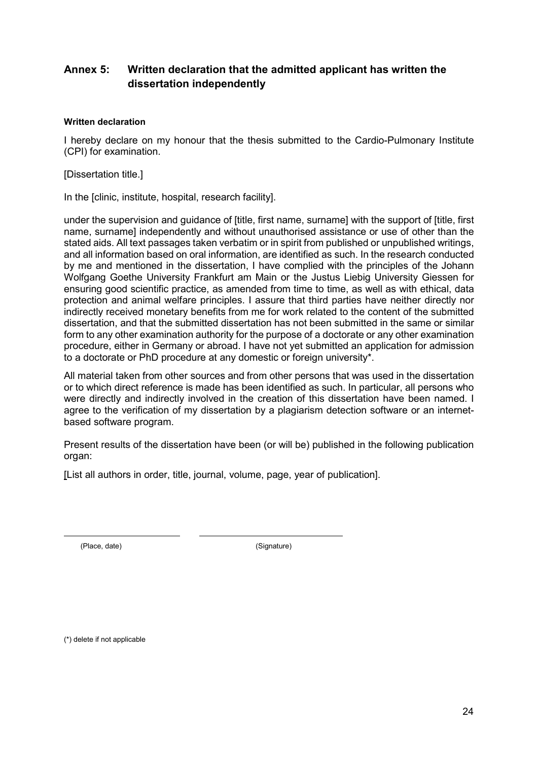# **Annex 5: Written declaration that the admitted applicant has written the dissertation independently**

# **Written declaration**

I hereby declare on my honour that the thesis submitted to the Cardio-Pulmonary Institute (CPI) for examination.

[Dissertation title.]

In the [clinic, institute, hospital, research facility].

under the supervision and guidance of [title, first name, surname] with the support of [title, first name, surname] independently and without unauthorised assistance or use of other than the stated aids. All text passages taken verbatim or in spirit from published or unpublished writings, and all information based on oral information, are identified as such. In the research conducted by me and mentioned in the dissertation, I have complied with the principles of the Johann Wolfgang Goethe University Frankfurt am Main or the Justus Liebig University Giessen for ensuring good scientific practice, as amended from time to time, as well as with ethical, data protection and animal welfare principles. I assure that third parties have neither directly nor indirectly received monetary benefits from me for work related to the content of the submitted dissertation, and that the submitted dissertation has not been submitted in the same or similar form to any other examination authority for the purpose of a doctorate or any other examination procedure, either in Germany or abroad. I have not yet submitted an application for admission to a doctorate or PhD procedure at any domestic or foreign university\*.

All material taken from other sources and from other persons that was used in the dissertation or to which direct reference is made has been identified as such. In particular, all persons who were directly and indirectly involved in the creation of this dissertation have been named. I agree to the verification of my dissertation by a plagiarism detection software or an internetbased software program.

Present results of the dissertation have been (or will be) published in the following publication organ:

[List all authors in order, title, journal, volume, page, year of publication].

(Place, date) (Signature)

(\*) delete if not applicable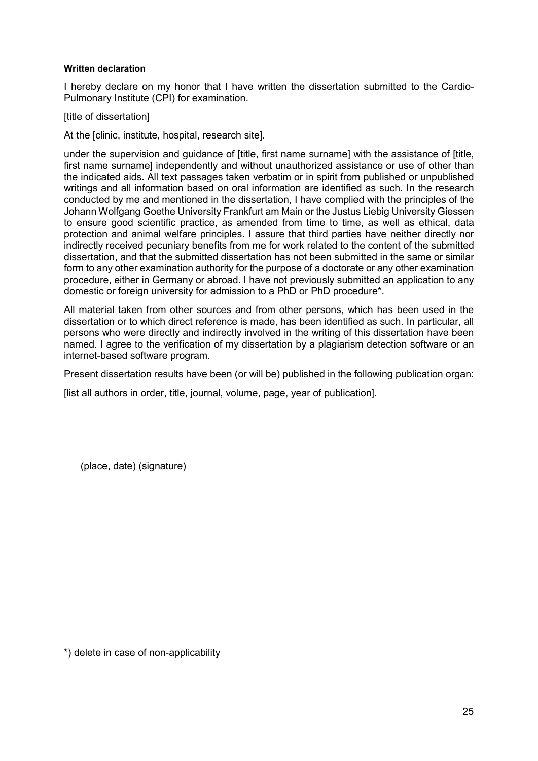# **Written declaration**

I hereby declare on my honor that I have written the dissertation submitted to the Cardio-Pulmonary Institute (CPI) for examination.

[title of dissertation]

At the [clinic, institute, hospital, research site].

under the supervision and guidance of [title, first name surname] with the assistance of [title, first name surname] independently and without unauthorized assistance or use of other than the indicated aids. All text passages taken verbatim or in spirit from published or unpublished writings and all information based on oral information are identified as such. In the research conducted by me and mentioned in the dissertation, I have complied with the principles of the Johann Wolfgang Goethe University Frankfurt am Main or the Justus Liebig University Giessen to ensure good scientific practice, as amended from time to time, as well as ethical, data protection and animal welfare principles. I assure that third parties have neither directly nor indirectly received pecuniary benefits from me for work related to the content of the submitted dissertation, and that the submitted dissertation has not been submitted in the same or similar form to any other examination authority for the purpose of a doctorate or any other examination procedure, either in Germany or abroad. I have not previously submitted an application to any domestic or foreign university for admission to a PhD or PhD procedure\*.

All material taken from other sources and from other persons, which has been used in the dissertation or to which direct reference is made, has been identified as such. In particular, all persons who were directly and indirectly involved in the writing of this dissertation have been named. I agree to the verification of my dissertation by a plagiarism detection software or an internet-based software program.

Present dissertation results have been (or will be) published in the following publication organ:

[list all authors in order, title, journal, volume, page, year of publication].

(place, date) (signature)

\*) delete in case of non-applicability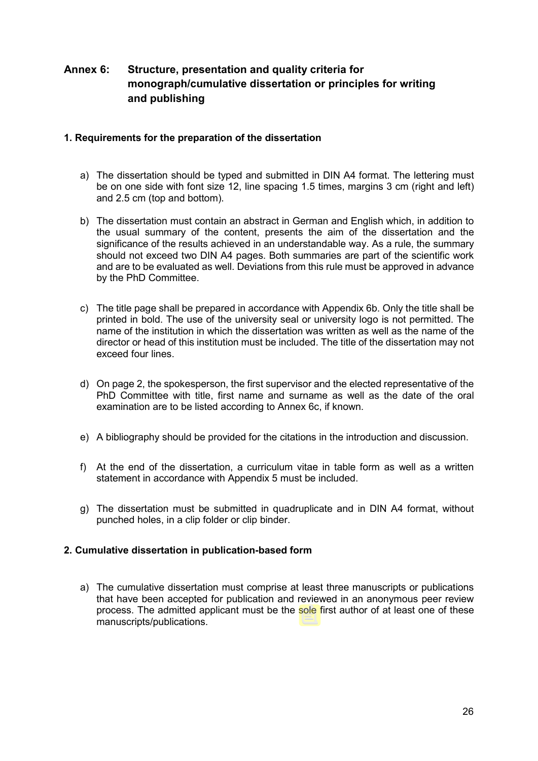# **Annex 6: Structure, presentation and quality criteria for monograph/cumulative dissertation or principles for writing and publishing**

# **1. Requirements for the preparation of the dissertation**

- a) The dissertation should be typed and submitted in DIN A4 format. The lettering must be on one side with font size 12, line spacing 1.5 times, margins 3 cm (right and left) and 2.5 cm (top and bottom).
- b) The dissertation must contain an abstract in German and English which, in addition to the usual summary of the content, presents the aim of the dissertation and the significance of the results achieved in an understandable way. As a rule, the summary should not exceed two DIN A4 pages. Both summaries are part of the scientific work and are to be evaluated as well. Deviations from this rule must be approved in advance by the PhD Committee.
- c) The title page shall be prepared in accordance with Appendix 6b. Only the title shall be printed in bold. The use of the university seal or university logo is not permitted. The name of the institution in which the dissertation was written as well as the name of the director or head of this institution must be included. The title of the dissertation may not exceed four lines.
- d) On page 2, the spokesperson, the first supervisor and the elected representative of the PhD Committee with title, first name and surname as well as the date of the oral examination are to be listed according to Annex 6c, if known.
- e) A bibliography should be provided for the citations in the introduction and discussion.
- f) At the end of the dissertation, a curriculum vitae in table form as well as a written statement in accordance with Appendix 5 must be included.
- g) The dissertation must be submitted in quadruplicate and in DIN A4 format, without punched holes, in a clip folder or clip binder.

# **2. Cumulative dissertation in publication-based form**

a) The cumulative dissertation must comprise at least three manuscripts or publications that have been accepted for publication and reviewed in an anonymous peer review process. The admitted applicant must be the sole first author of at least one of these manuscripts/publications.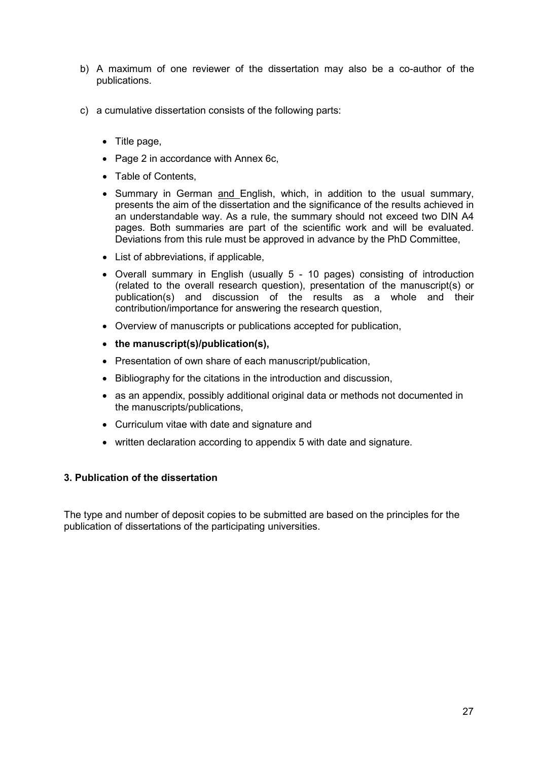- b) A maximum of one reviewer of the dissertation may also be a co-author of the publications.
- c) a cumulative dissertation consists of the following parts:
	- Title page,
	- Page 2 in accordance with Annex 6c,
	- Table of Contents,
	- Summary in German and English, which, in addition to the usual summary, presents the aim of the dissertation and the significance of the results achieved in an understandable way. As a rule, the summary should not exceed two DIN A4 pages. Both summaries are part of the scientific work and will be evaluated. Deviations from this rule must be approved in advance by the PhD Committee,
	- List of abbreviations, if applicable,
	- Overall summary in English (usually 5 10 pages) consisting of introduction (related to the overall research question), presentation of the manuscript(s) or publication(s) and discussion of the results as a whole and their contribution/importance for answering the research question,
	- Overview of manuscripts or publications accepted for publication,
	- **the manuscript(s)/publication(s),**
	- Presentation of own share of each manuscript/publication,
	- Bibliography for the citations in the introduction and discussion,
	- as an appendix, possibly additional original data or methods not documented in the manuscripts/publications,
	- Curriculum vitae with date and signature and
	- written declaration according to appendix 5 with date and signature.

# **3. Publication of the dissertation**

The type and number of deposit copies to be submitted are based on the principles for the publication of dissertations of the participating universities.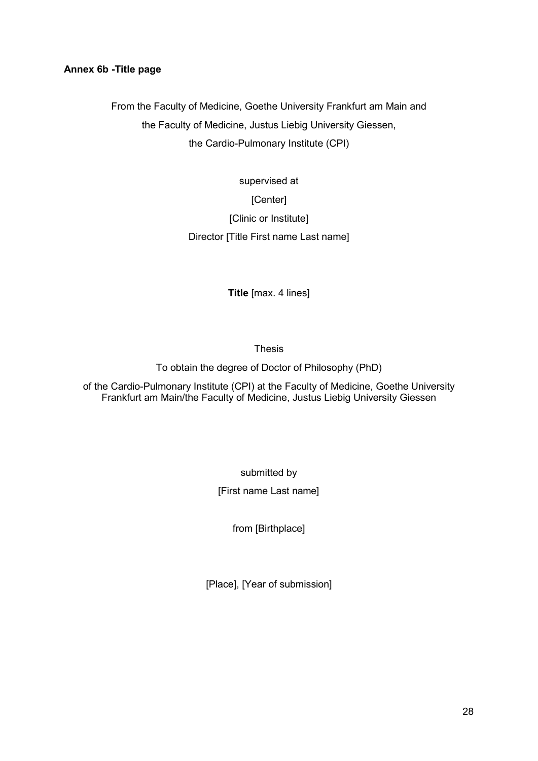# **Annex 6b -Title page**

From the Faculty of Medicine, Goethe University Frankfurt am Main and the Faculty of Medicine, Justus Liebig University Giessen, the Cardio-Pulmonary Institute (CPI)

> supervised at [Center] [Clinic or Institute] Director [Title First name Last name]

> > **Title** [max. 4 lines]

Thesis

To obtain the degree of Doctor of Philosophy (PhD)

of the Cardio-Pulmonary Institute (CPI) at the Faculty of Medicine, Goethe University Frankfurt am Main/the Faculty of Medicine, Justus Liebig University Giessen

> submitted by [First name Last name]

> > from [Birthplace]

[Place], [Year of submission]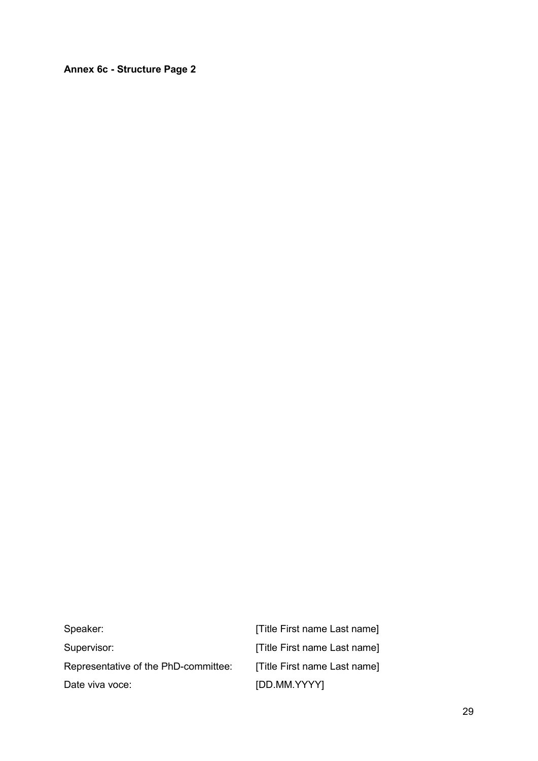**Annex 6c - Structure Page 2**

| Speaker:                             | [Title First name Last name] |
|--------------------------------------|------------------------------|
| Supervisor:                          | [Title First name Last name] |
| Representative of the PhD-committee: | [Title First name Last name] |
| Date viva voce:                      | [DD.MM.YYYY]                 |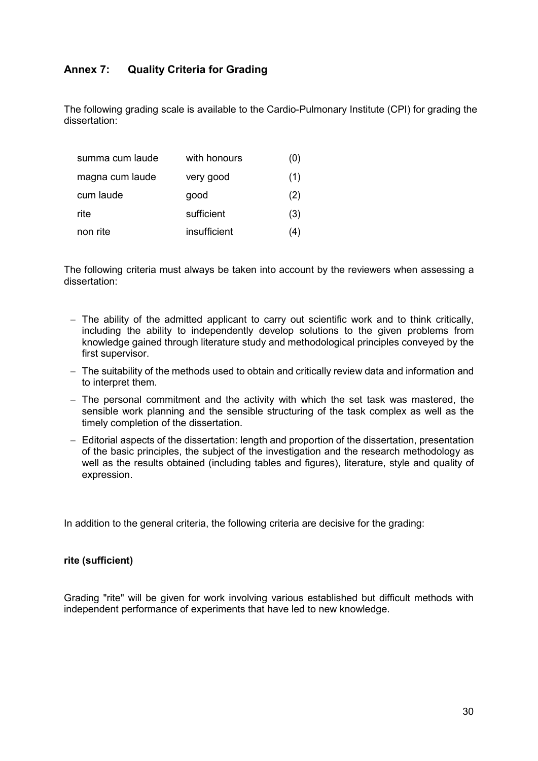# **Annex 7: Quality Criteria for Grading**

The following grading scale is available to the Cardio-Pulmonary Institute (CPI) for grading the dissertation:

| summa cum laude | with honours | (U) |
|-----------------|--------------|-----|
| magna cum laude | very good    | (1) |
| cum laude       | good         | (2) |
| rite            | sufficient   | (3) |
| non rite        | insufficient | 4۱. |

The following criteria must always be taken into account by the reviewers when assessing a dissertation:

- − The ability of the admitted applicant to carry out scientific work and to think critically, including the ability to independently develop solutions to the given problems from knowledge gained through literature study and methodological principles conveyed by the first supervisor.
- − The suitability of the methods used to obtain and critically review data and information and to interpret them.
- − The personal commitment and the activity with which the set task was mastered, the sensible work planning and the sensible structuring of the task complex as well as the timely completion of the dissertation.
- − Editorial aspects of the dissertation: length and proportion of the dissertation, presentation of the basic principles, the subject of the investigation and the research methodology as well as the results obtained (including tables and figures), literature, style and quality of expression.

In addition to the general criteria, the following criteria are decisive for the grading:

#### **rite (sufficient)**

Grading "rite" will be given for work involving various established but difficult methods with independent performance of experiments that have led to new knowledge.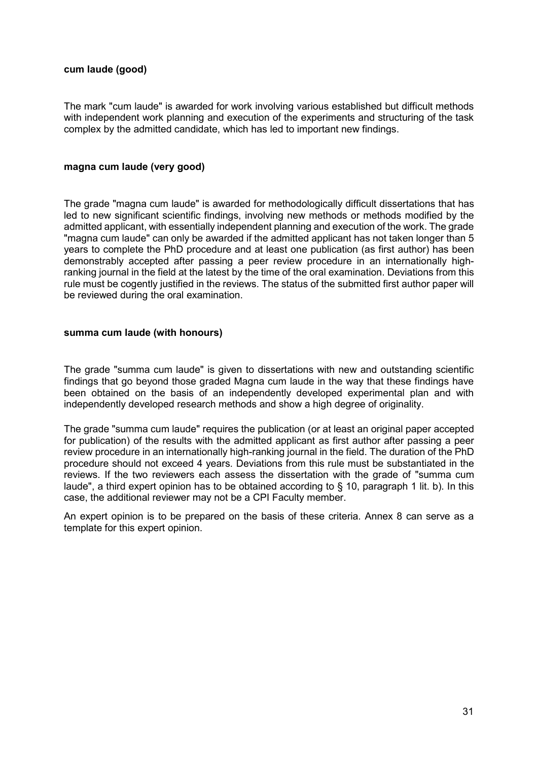# **cum laude (good)**

The mark "cum laude" is awarded for work involving various established but difficult methods with independent work planning and execution of the experiments and structuring of the task complex by the admitted candidate, which has led to important new findings.

#### **magna cum laude (very good)**

The grade "magna cum laude" is awarded for methodologically difficult dissertations that has led to new significant scientific findings, involving new methods or methods modified by the admitted applicant, with essentially independent planning and execution of the work. The grade "magna cum laude" can only be awarded if the admitted applicant has not taken longer than 5 years to complete the PhD procedure and at least one publication (as first author) has been demonstrably accepted after passing a peer review procedure in an internationally highranking journal in the field at the latest by the time of the oral examination. Deviations from this rule must be cogently justified in the reviews. The status of the submitted first author paper will be reviewed during the oral examination.

# **summa cum laude (with honours)**

The grade "summa cum laude" is given to dissertations with new and outstanding scientific findings that go beyond those graded Magna cum laude in the way that these findings have been obtained on the basis of an independently developed experimental plan and with independently developed research methods and show a high degree of originality.

The grade "summa cum laude" requires the publication (or at least an original paper accepted for publication) of the results with the admitted applicant as first author after passing a peer review procedure in an internationally high-ranking journal in the field. The duration of the PhD procedure should not exceed 4 years. Deviations from this rule must be substantiated in the reviews. If the two reviewers each assess the dissertation with the grade of "summa cum laude", a third expert opinion has to be obtained according to § 10, paragraph 1 lit. b). In this case, the additional reviewer may not be a CPI Faculty member.

An expert opinion is to be prepared on the basis of these criteria. Annex 8 can serve as a template for this expert opinion.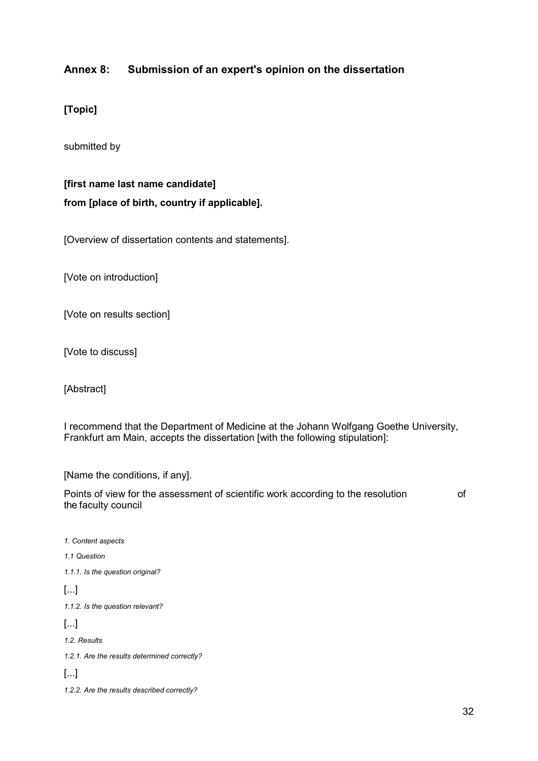# **Annex 8: Submission of an expert's opinion on the dissertation**

**[Topic]**

submitted by

**[first name last name candidate] from [place of birth, country if applicable].**

[Overview of dissertation contents and statements].

[Vote on introduction]

[Vote on results section]

[Vote to discuss]

[Abstract]

I recommend that the Department of Medicine at the Johann Wolfgang Goethe University, Frankfurt am Main, accepts the dissertation [with the following stipulation]:

[Name the conditions, if any].

Points of view for the assessment of scientific work according to the resolution of the faculty council

*1. Content aspects 1.1 Question 1.1.1. Is the question original?* [...] *1.1.2. Is the question relevant?* [...] *1.2. Results 1.2.1. Are the results determined correctly?* [...]

*1.2.2. Are the results described correctly?*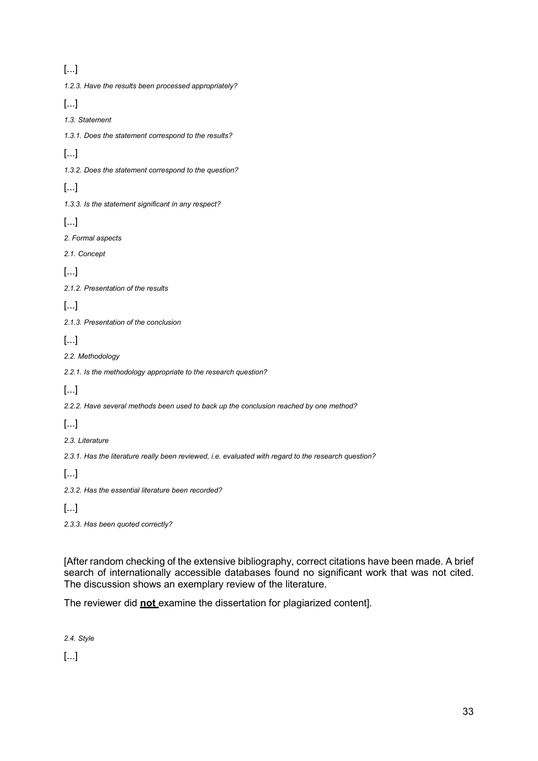# [...]

| Ŀ⊶l                                                                                                  |
|------------------------------------------------------------------------------------------------------|
| 1.2.3. Have the results been processed appropriately?                                                |
| $[]$                                                                                                 |
| 1.3. Statement                                                                                       |
| 1.3.1. Does the statement correspond to the results?                                                 |
| $[]$                                                                                                 |
| 1.3.2. Does the statement correspond to the question?                                                |
| []                                                                                                   |
| 1.3.3. Is the statement significant in any respect?                                                  |
| $[]$                                                                                                 |
| 2. Formal aspects                                                                                    |
| 2.1. Concept                                                                                         |
| $[]$                                                                                                 |
| 2.1.2. Presentation of the results                                                                   |
| $[]$                                                                                                 |
| 2.1.3. Presentation of the conclusion                                                                |
| $[]$                                                                                                 |
| 2.2. Methodology                                                                                     |
| 2.2.1. Is the methodology appropriate to the research question?                                      |
| $[]$                                                                                                 |
| 2.2.2. Have several methods been used to back up the conclusion reached by one method?               |
| []                                                                                                   |
| 2.3. Literature                                                                                      |
| 2.3.1. Has the literature really been reviewed, i.e. evaluated with regard to the research question? |
| []                                                                                                   |
| 2.3.2. Has the essential literature been recorded?                                                   |
| $[]$                                                                                                 |
| 2.3.3. Has been quoted correctly?                                                                    |

[After random checking of the extensive bibliography, correct citations have been made. A brief search of internationally accessible databases found no significant work that was not cited. The discussion shows an exemplary review of the literature.

The reviewer did **not** examine the dissertation for plagiarized content].

*2.4. Style*

[...]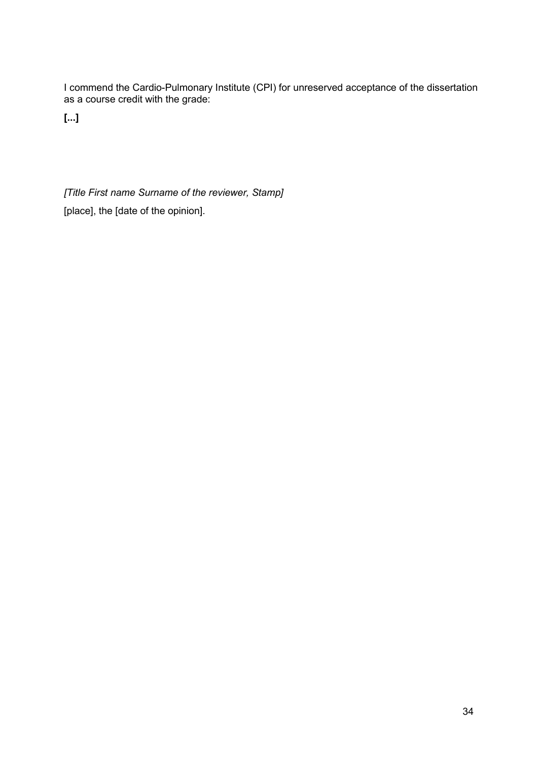I commend the Cardio-Pulmonary Institute (CPI) for unreserved acceptance of the dissertation as a course credit with the grade:

**[...]**

*[Title First name Surname of the reviewer, Stamp]* [place], the [date of the opinion].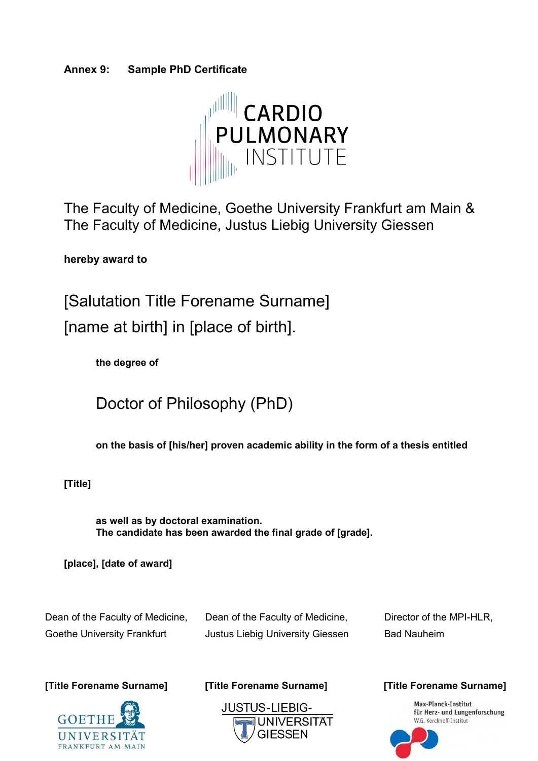# **Annex 9: Sample PhD Certificate**



The Faculty of Medicine, Goethe University Frankfurt am Main & The Faculty of Medicine, Justus Liebig University Giessen

**hereby award to**

[Salutation Title Forename Surname] [name at birth] in [place of birth].

**the degree of**

Doctor of Philosophy (PhD)

**on the basis of [his/her] proven academic ability in the form of a thesis entitled**

**[Title]**

**as well as by doctoral examination. The candidate has been awarded the final grade of [grade].** 

**[place], [date of award]**

Dean of the Faculty of Medicine, Dean of the Faculty of Medicine, Director of the MPI-HLR, Goethe University Frankfurt **Justus Liebig University Giessen** Bad Nauheim

**[Title Forename Surname] [Title Forename Surname] [Title Forename Surname]**





Max-Planck-Institut<br>für Herz- und Lungenforschung<br>W.G. Kerckhoff-Institut